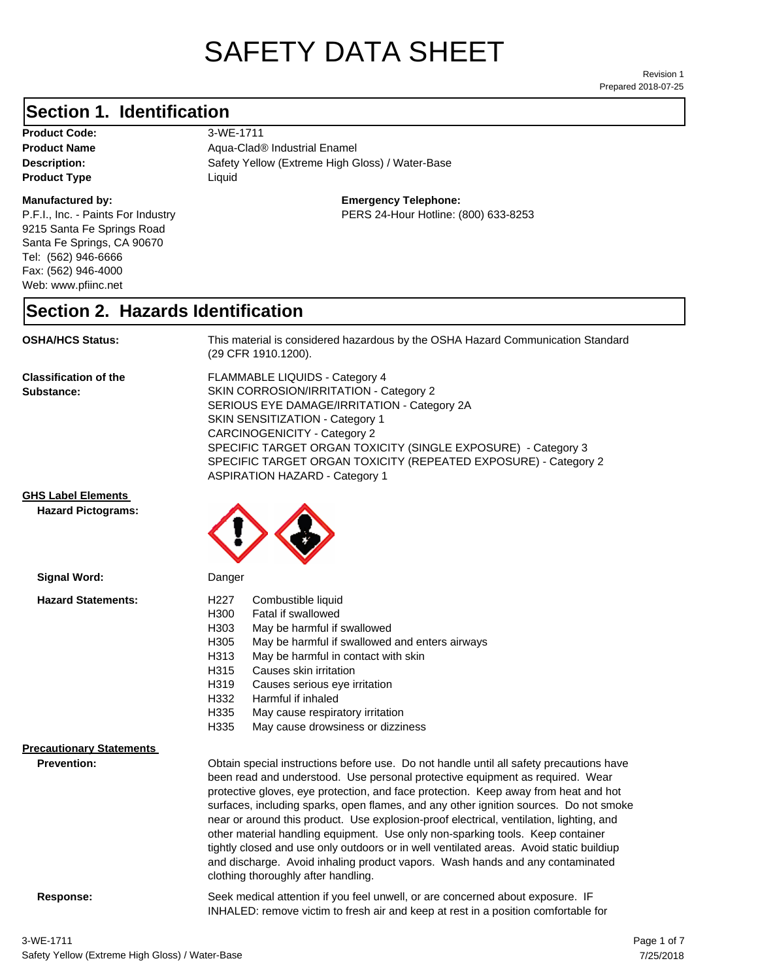# SAFETY DATA SHEET

Prepared 2018-07-25 Revision 1

### **Section 1. Identification**

**Product Code:** 3-WE-1711 **Product Type Liquid Liquid** 

#### **Manufactured by:**

P.F.I., Inc. - Paints For Industry 9215 Santa Fe Springs Road Santa Fe Springs, CA 90670 Tel: (562) 946-6666 Fax: (562) 946-4000 Web: www.pfiinc.net

Description: Safety Yellow (Extreme High Gloss) / Water-Base **Product Name** Aqua-Clad<sup>®</sup> Industrial Enamel

**Emergency Telephone:**

PERS 24-Hour Hotline: (800) 633-8253

#### **Section 2. Hazards Identification**

**OSHA/HCS Status:** This material is considered hazardous by the OSHA Hazard Communication Standard (29 CFR 1910.1200).

**Classification of the Substance:**

FLAMMABLE LIQUIDS - Category 4 SKIN CORROSION/IRRITATION - Category 2 SERIOUS EYE DAMAGE/IRRITATION - Category 2A SKIN SENSITIZATION - Category 1 CARCINOGENICITY - Category 2 SPECIFIC TARGET ORGAN TOXICITY (SINGLE EXPOSURE) - Category 3 SPECIFIC TARGET ORGAN TOXICITY (REPEATED EXPOSURE) - Category 2 ASPIRATION HAZARD - Category 1

INHALED: remove victim to fresh air and keep at rest in a position comfortable for

**GHS Label Elements**

**Hazard Pictograms:**



| Signal Word:                                          | Danger                                                                                                                                                                                                                                                                                                                                                                                                                                                                                                                                                                                                                                                                                                                                                   |
|-------------------------------------------------------|----------------------------------------------------------------------------------------------------------------------------------------------------------------------------------------------------------------------------------------------------------------------------------------------------------------------------------------------------------------------------------------------------------------------------------------------------------------------------------------------------------------------------------------------------------------------------------------------------------------------------------------------------------------------------------------------------------------------------------------------------------|
| <b>Hazard Statements:</b>                             | H227<br>Combustible liquid<br>H300<br>Fatal if swallowed<br>H303<br>May be harmful if swallowed<br>H305<br>May be harmful if swallowed and enters airways<br>May be harmful in contact with skin<br>H313<br>H315<br>Causes skin irritation<br>H319<br>Causes serious eye irritation<br>H332<br>Harmful if inhaled<br>H335<br>May cause respiratory irritation<br>H335<br>May cause drowsiness or dizziness                                                                                                                                                                                                                                                                                                                                               |
| <b>Precautionary Statements</b><br><b>Prevention:</b> | Obtain special instructions before use. Do not handle until all safety precautions have<br>been read and understood. Use personal protective equipment as required. Wear<br>protective gloves, eye protection, and face protection. Keep away from heat and hot<br>surfaces, including sparks, open flames, and any other ignition sources. Do not smoke<br>near or around this product. Use explosion-proof electrical, ventilation, lighting, and<br>other material handling equipment. Use only non-sparking tools. Keep container<br>tightly closed and use only outdoors or in well ventilated areas. Avoid static buildiup<br>and discharge. Avoid inhaling product vapors. Wash hands and any contaminated<br>clothing thoroughly after handling. |
| Response:                                             | Seek medical attention if you feel unwell, or are concerned about exposure. IF                                                                                                                                                                                                                                                                                                                                                                                                                                                                                                                                                                                                                                                                           |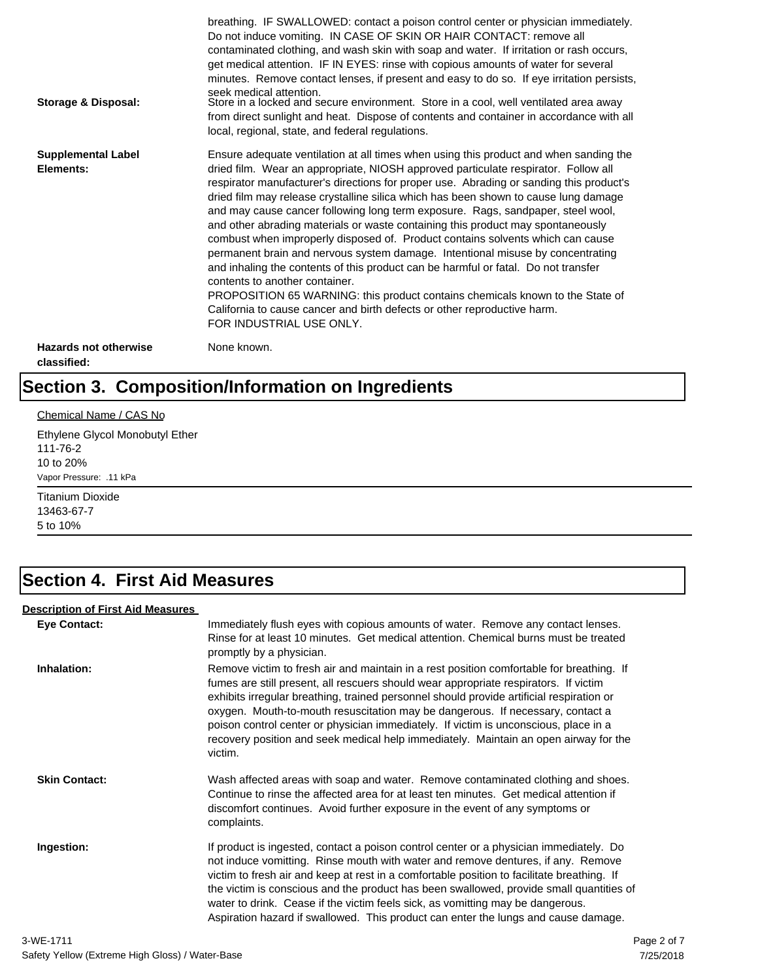| Storage & Disposal:                         | breathing. IF SWALLOWED: contact a poison control center or physician immediately.<br>Do not induce vomiting. IN CASE OF SKIN OR HAIR CONTACT: remove all<br>contaminated clothing, and wash skin with soap and water. If irritation or rash occurs,<br>get medical attention. IF IN EYES: rinse with copious amounts of water for several<br>minutes. Remove contact lenses, if present and easy to do so. If eye irritation persists,<br>seek medical attention.<br>Store in a locked and secure environment. Store in a cool, well ventilated area away<br>from direct sunlight and heat. Dispose of contents and container in accordance with all<br>local, regional, state, and federal regulations.                                                                                                                                                                                                                                                                                                                |
|---------------------------------------------|--------------------------------------------------------------------------------------------------------------------------------------------------------------------------------------------------------------------------------------------------------------------------------------------------------------------------------------------------------------------------------------------------------------------------------------------------------------------------------------------------------------------------------------------------------------------------------------------------------------------------------------------------------------------------------------------------------------------------------------------------------------------------------------------------------------------------------------------------------------------------------------------------------------------------------------------------------------------------------------------------------------------------|
| <b>Supplemental Label</b><br>Elements:      | Ensure adequate ventilation at all times when using this product and when sanding the<br>dried film. Wear an appropriate, NIOSH approved particulate respirator. Follow all<br>respirator manufacturer's directions for proper use. Abrading or sanding this product's<br>dried film may release crystalline silica which has been shown to cause lung damage<br>and may cause cancer following long term exposure. Rags, sandpaper, steel wool,<br>and other abrading materials or waste containing this product may spontaneously<br>combust when improperly disposed of. Product contains solvents which can cause<br>permanent brain and nervous system damage. Intentional misuse by concentrating<br>and inhaling the contents of this product can be harmful or fatal. Do not transfer<br>contents to another container.<br>PROPOSITION 65 WARNING: this product contains chemicals known to the State of<br>California to cause cancer and birth defects or other reproductive harm.<br>FOR INDUSTRIAL USE ONLY. |
| <b>Hazards not otherwise</b><br>classified: | None known.                                                                                                                                                                                                                                                                                                                                                                                                                                                                                                                                                                                                                                                                                                                                                                                                                                                                                                                                                                                                              |

# **Section 3. Composition/Information on Ingredients**

#### Chemical Name / CAS No

Ethylene Glycol Monobutyl Ether 111-76-2 10 to 20% Vapor Pressure: .11 kPa

Titanium Dioxide 13463-67-7 5 to 10%

### **Section 4. First Aid Measures**

#### **Description of First Aid Measures**

| <b>Eye Contact:</b>  | Immediately flush eyes with copious amounts of water. Remove any contact lenses.<br>Rinse for at least 10 minutes. Get medical attention. Chemical burns must be treated<br>promptly by a physician.                                                                                                                                                                                                                                                                                                                                                      |
|----------------------|-----------------------------------------------------------------------------------------------------------------------------------------------------------------------------------------------------------------------------------------------------------------------------------------------------------------------------------------------------------------------------------------------------------------------------------------------------------------------------------------------------------------------------------------------------------|
| Inhalation:          | Remove victim to fresh air and maintain in a rest position comfortable for breathing. If<br>fumes are still present, all rescuers should wear appropriate respirators. If victim<br>exhibits irregular breathing, trained personnel should provide artificial respiration or<br>oxygen. Mouth-to-mouth resuscitation may be dangerous. If necessary, contact a<br>poison control center or physician immediately. If victim is unconscious, place in a<br>recovery position and seek medical help immediately. Maintain an open airway for the<br>victim. |
| <b>Skin Contact:</b> | Wash affected areas with soap and water. Remove contaminated clothing and shoes.<br>Continue to rinse the affected area for at least ten minutes. Get medical attention if<br>discomfort continues. Avoid further exposure in the event of any symptoms or<br>complaints.                                                                                                                                                                                                                                                                                 |
| Ingestion:           | If product is ingested, contact a poison control center or a physician immediately. Do<br>not induce vomitting. Rinse mouth with water and remove dentures, if any. Remove<br>victim to fresh air and keep at rest in a comfortable position to facilitate breathing. If<br>the victim is conscious and the product has been swallowed, provide small quantities of<br>water to drink. Cease if the victim feels sick, as vomitting may be dangerous.<br>Aspiration hazard if swallowed. This product can enter the lungs and cause damage.               |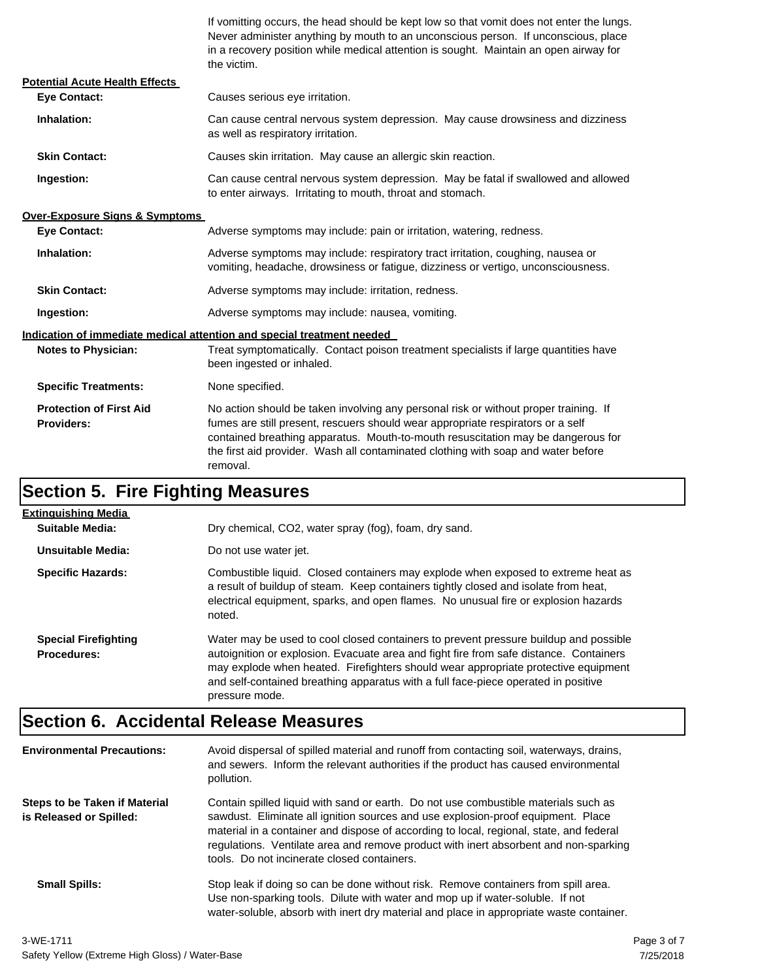If vomitting occurs, the head should be kept low so that vomit does not enter the lungs. Never administer anything by mouth to an unconscious person. If unconscious, place in a recovery position while medical attention is sought. Maintain an open airway for the victim.

| <b>Potential Acute Health Effects</b>               |                                                                                                                                                                                                                                                                                                                                                              |  |  |
|-----------------------------------------------------|--------------------------------------------------------------------------------------------------------------------------------------------------------------------------------------------------------------------------------------------------------------------------------------------------------------------------------------------------------------|--|--|
| <b>Eve Contact:</b>                                 | Causes serious eye irritation.                                                                                                                                                                                                                                                                                                                               |  |  |
| Inhalation:                                         | Can cause central nervous system depression. May cause drowsiness and dizziness<br>as well as respiratory irritation.                                                                                                                                                                                                                                        |  |  |
| <b>Skin Contact:</b>                                | Causes skin irritation. May cause an allergic skin reaction.                                                                                                                                                                                                                                                                                                 |  |  |
| Ingestion:                                          | Can cause central nervous system depression. May be fatal if swallowed and allowed<br>to enter airways. Irritating to mouth, throat and stomach.                                                                                                                                                                                                             |  |  |
| <b>Over-Exposure Signs &amp; Symptoms</b>           |                                                                                                                                                                                                                                                                                                                                                              |  |  |
| <b>Eve Contact:</b>                                 | Adverse symptoms may include: pain or irritation, watering, redness.                                                                                                                                                                                                                                                                                         |  |  |
| Inhalation:                                         | Adverse symptoms may include: respiratory tract irritation, coughing, nausea or<br>vomiting, headache, drowsiness or fatigue, dizziness or vertigo, unconsciousness.                                                                                                                                                                                         |  |  |
| <b>Skin Contact:</b>                                | Adverse symptoms may include: irritation, redness.                                                                                                                                                                                                                                                                                                           |  |  |
| Ingestion:                                          | Adverse symptoms may include: nausea, vomiting.                                                                                                                                                                                                                                                                                                              |  |  |
|                                                     | Indication of immediate medical attention and special treatment needed                                                                                                                                                                                                                                                                                       |  |  |
| <b>Notes to Physician:</b>                          | Treat symptomatically. Contact poison treatment specialists if large quantities have<br>been ingested or inhaled.                                                                                                                                                                                                                                            |  |  |
| <b>Specific Treatments:</b>                         | None specified.                                                                                                                                                                                                                                                                                                                                              |  |  |
| <b>Protection of First Aid</b><br><b>Providers:</b> | No action should be taken involving any personal risk or without proper training. If<br>fumes are still present, rescuers should wear appropriate respirators or a self<br>contained breathing apparatus. Mouth-to-mouth resuscitation may be dangerous for<br>the first aid provider. Wash all contaminated clothing with soap and water before<br>removal. |  |  |

### **Section 5. Fire Fighting Measures**

| <b>Extinguishing Media</b>                        |                                                                                                                                                                                                                                                                                                                                                                              |  |
|---------------------------------------------------|------------------------------------------------------------------------------------------------------------------------------------------------------------------------------------------------------------------------------------------------------------------------------------------------------------------------------------------------------------------------------|--|
| Suitable Media:                                   | Dry chemical, CO2, water spray (fog), foam, dry sand.                                                                                                                                                                                                                                                                                                                        |  |
| Unsuitable Media:                                 | Do not use water jet.                                                                                                                                                                                                                                                                                                                                                        |  |
| <b>Specific Hazards:</b>                          | Combustible liquid. Closed containers may explode when exposed to extreme heat as<br>a result of buildup of steam. Keep containers tightly closed and isolate from heat,<br>electrical equipment, sparks, and open flames. No unusual fire or explosion hazards<br>noted.                                                                                                    |  |
| <b>Special Firefighting</b><br><b>Procedures:</b> | Water may be used to cool closed containers to prevent pressure buildup and possible<br>autoignition or explosion. Evacuate area and fight fire from safe distance. Containers<br>may explode when heated. Firefighters should wear appropriate protective equipment<br>and self-contained breathing apparatus with a full face-piece operated in positive<br>pressure mode. |  |

#### **Section 6. Accidental Release Measures**

| <b>Environmental Precautions:</b>                               | Avoid dispersal of spilled material and runoff from contacting soil, waterways, drains,<br>and sewers. Inform the relevant authorities if the product has caused environmental<br>pollution.                                                                                                                                                                                                              |
|-----------------------------------------------------------------|-----------------------------------------------------------------------------------------------------------------------------------------------------------------------------------------------------------------------------------------------------------------------------------------------------------------------------------------------------------------------------------------------------------|
| <b>Steps to be Taken if Material</b><br>is Released or Spilled: | Contain spilled liquid with sand or earth. Do not use combustible materials such as<br>sawdust. Eliminate all ignition sources and use explosion-proof equipment. Place<br>material in a container and dispose of according to local, regional, state, and federal<br>regulations. Ventilate area and remove product with inert absorbent and non-sparking<br>tools. Do not incinerate closed containers. |
| <b>Small Spills:</b>                                            | Stop leak if doing so can be done without risk. Remove containers from spill area.<br>Use non-sparking tools. Dilute with water and mop up if water-soluble. If not<br>water-soluble, absorb with inert dry material and place in appropriate waste container.                                                                                                                                            |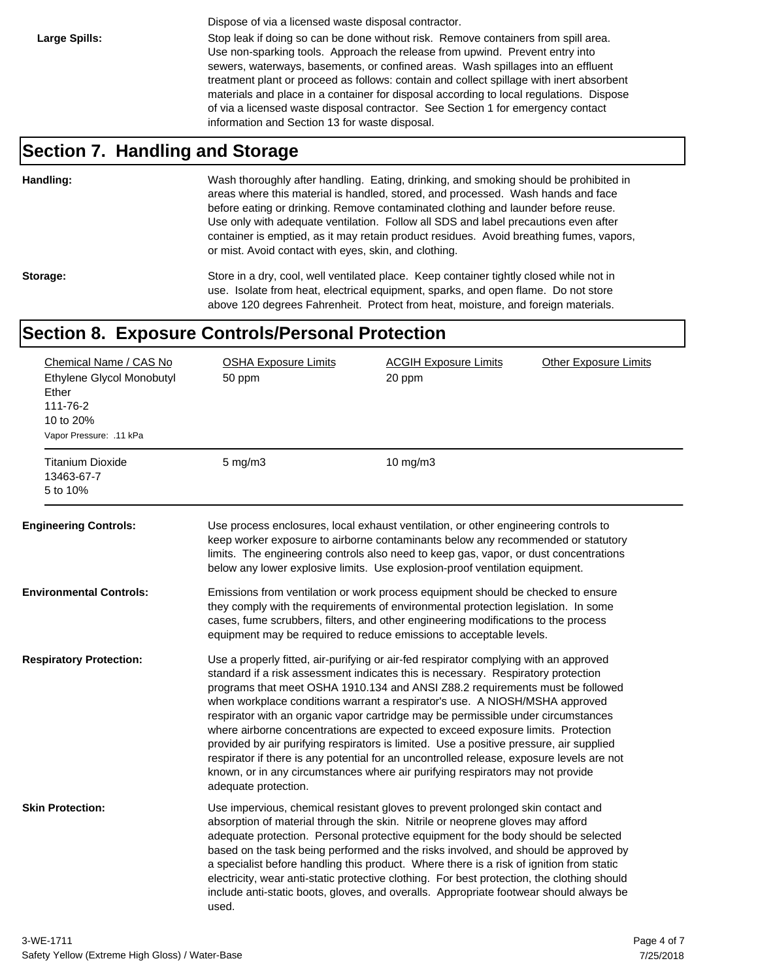Dispose of via a licensed waste disposal contractor.

Large Spills: Stop leak if doing so can be done without risk. Remove containers from spill area. Use non-sparking tools. Approach the release from upwind. Prevent entry into sewers, waterways, basements, or confined areas. Wash spillages into an effluent treatment plant or proceed as follows: contain and collect spillage with inert absorbent materials and place in a container for disposal according to local regulations. Dispose of via a licensed waste disposal contractor. See Section 1 for emergency contact information and Section 13 for waste disposal.

#### **Section 7. Handling and Storage**

**Handling:** Wash thoroughly after handling. Eating, drinking, and smoking should be prohibited in areas where this material is handled, stored, and processed. Wash hands and face before eating or drinking. Remove contaminated clothing and launder before reuse. Use only with adequate ventilation. Follow all SDS and label precautions even after container is emptied, as it may retain product residues. Avoid breathing fumes, vapors, or mist. Avoid contact with eyes, skin, and clothing.

Storage: Store in a dry, cool, well ventilated place. Keep container tightly closed while not in use. Isolate from heat, electrical equipment, sparks, and open flame. Do not store above 120 degrees Fahrenheit. Protect from heat, moisture, and foreign materials.

#### **Section 8. Exposure Controls/Personal Protection**

| Chemical Name / CAS No<br>Ethylene Glycol Monobutyl<br>Ether<br>111-76-2<br>10 to 20%<br>Vapor Pressure: .11 kPa<br><b>Titanium Dioxide</b> | <b>OSHA Exposure Limits</b><br>50 ppm<br>$5$ mg/m $3$ | <b>ACGIH Exposure Limits</b><br>20 ppm<br>$10$ mg/m $3$                                                                                                                                                                                                                                                                                                                                                                                                                                                                                                                                                                                                                                                                                                                                       | <b>Other Exposure Limits</b> |
|---------------------------------------------------------------------------------------------------------------------------------------------|-------------------------------------------------------|-----------------------------------------------------------------------------------------------------------------------------------------------------------------------------------------------------------------------------------------------------------------------------------------------------------------------------------------------------------------------------------------------------------------------------------------------------------------------------------------------------------------------------------------------------------------------------------------------------------------------------------------------------------------------------------------------------------------------------------------------------------------------------------------------|------------------------------|
| 13463-67-7<br>5 to 10%                                                                                                                      |                                                       |                                                                                                                                                                                                                                                                                                                                                                                                                                                                                                                                                                                                                                                                                                                                                                                               |                              |
| <b>Engineering Controls:</b>                                                                                                                |                                                       | Use process enclosures, local exhaust ventilation, or other engineering controls to<br>keep worker exposure to airborne contaminants below any recommended or statutory<br>limits. The engineering controls also need to keep gas, vapor, or dust concentrations<br>below any lower explosive limits. Use explosion-proof ventilation equipment.                                                                                                                                                                                                                                                                                                                                                                                                                                              |                              |
| Environmental Controls:                                                                                                                     |                                                       | Emissions from ventilation or work process equipment should be checked to ensure<br>they comply with the requirements of environmental protection legislation. In some<br>cases, fume scrubbers, filters, and other engineering modifications to the process<br>equipment may be required to reduce emissions to acceptable levels.                                                                                                                                                                                                                                                                                                                                                                                                                                                           |                              |
| <b>Respiratory Protection:</b>                                                                                                              | adequate protection.                                  | Use a properly fitted, air-purifying or air-fed respirator complying with an approved<br>standard if a risk assessment indicates this is necessary. Respiratory protection<br>programs that meet OSHA 1910.134 and ANSI Z88.2 requirements must be followed<br>when workplace conditions warrant a respirator's use. A NIOSH/MSHA approved<br>respirator with an organic vapor cartridge may be permissible under circumstances<br>where airborne concentrations are expected to exceed exposure limits. Protection<br>provided by air purifying respirators is limited. Use a positive pressure, air supplied<br>respirator if there is any potential for an uncontrolled release, exposure levels are not<br>known, or in any circumstances where air purifying respirators may not provide |                              |
| <b>Skin Protection:</b>                                                                                                                     | used.                                                 | Use impervious, chemical resistant gloves to prevent prolonged skin contact and<br>absorption of material through the skin. Nitrile or neoprene gloves may afford<br>adequate protection. Personal protective equipment for the body should be selected<br>based on the task being performed and the risks involved, and should be approved by<br>a specialist before handling this product. Where there is a risk of ignition from static<br>electricity, wear anti-static protective clothing. For best protection, the clothing should<br>include anti-static boots, gloves, and overalls. Appropriate footwear should always be                                                                                                                                                           |                              |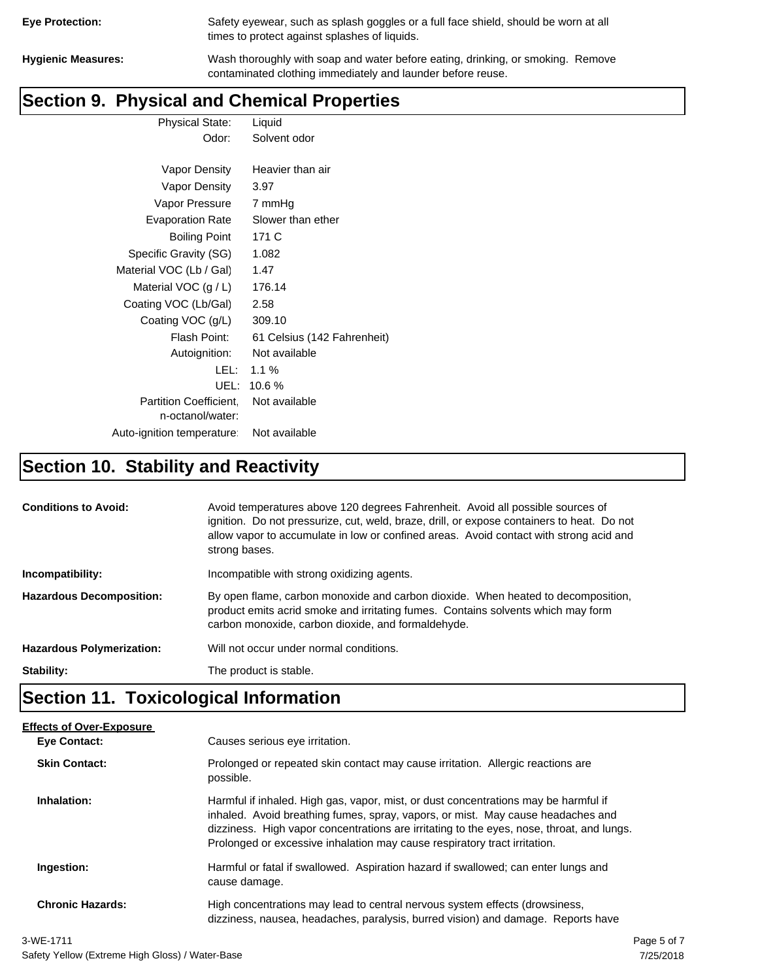| <b>Eye Protection:</b> |  |
|------------------------|--|
|                        |  |

Safety eyewear, such as splash goggles or a full face shield, should be worn at all times to protect against splashes of liquids.

**Hygienic Measures:** Wash thoroughly with soap and water before eating, drinking, or smoking. Remove contaminated clothing immediately and launder before reuse.

# **Section 9. Physical and Chemical Properties**

Physical State: Liquid Odor: Solvent odor

| Vapor Density                                     | Heavier than air            |
|---------------------------------------------------|-----------------------------|
| Vapor Density                                     | 3.97                        |
| Vapor Pressure                                    | 7 mmHg                      |
| <b>Evaporation Rate</b>                           | Slower than ether           |
| <b>Boiling Point</b>                              | 171 C                       |
| Specific Gravity (SG)                             | 1.082                       |
| Material VOC (Lb / Gal)                           | 1.47                        |
| Material VOC $(g/L)$                              | 176.14                      |
| Coating VOC (Lb/Gal)                              | 2.58                        |
| Coating VOC (g/L)                                 | 309.10                      |
| Flash Point:                                      | 61 Celsius (142 Fahrenheit) |
| Autoignition:                                     | Not available               |
| LEL: I                                            | $1.1\%$                     |
| UEL:                                              | 10.6 %                      |
| <b>Partition Coefficient.</b><br>n-octanol/water: | Not available               |
| Auto-ignition temperature:                        | Not available               |

# **Section 10. Stability and Reactivity**

| <b>Conditions to Avoid:</b>      | Avoid temperatures above 120 degrees Fahrenheit. Avoid all possible sources of<br>ignition. Do not pressurize, cut, weld, braze, drill, or expose containers to heat. Do not<br>allow vapor to accumulate in low or confined areas. Avoid contact with strong acid and<br>strong bases. |  |
|----------------------------------|-----------------------------------------------------------------------------------------------------------------------------------------------------------------------------------------------------------------------------------------------------------------------------------------|--|
| Incompatibility:                 | Incompatible with strong oxidizing agents.                                                                                                                                                                                                                                              |  |
| <b>Hazardous Decomposition:</b>  | By open flame, carbon monoxide and carbon dioxide. When heated to decomposition,<br>product emits acrid smoke and irritating fumes. Contains solvents which may form<br>carbon monoxide, carbon dioxide, and formaldehyde.                                                              |  |
| <b>Hazardous Polymerization:</b> | Will not occur under normal conditions.                                                                                                                                                                                                                                                 |  |
| Stability:                       | The product is stable.                                                                                                                                                                                                                                                                  |  |

# **Section 11. Toxicological Information**

| <b>Effects of Over-Exposure</b> |                                                                                                                                                                                                                                                                                                                                                  |             |
|---------------------------------|--------------------------------------------------------------------------------------------------------------------------------------------------------------------------------------------------------------------------------------------------------------------------------------------------------------------------------------------------|-------------|
| Eye Contact:                    | Causes serious eye irritation.                                                                                                                                                                                                                                                                                                                   |             |
| <b>Skin Contact:</b>            | Prolonged or repeated skin contact may cause irritation. Allergic reactions are<br>possible.                                                                                                                                                                                                                                                     |             |
| Inhalation:                     | Harmful if inhaled. High gas, vapor, mist, or dust concentrations may be harmful if<br>inhaled. Avoid breathing fumes, spray, vapors, or mist. May cause headaches and<br>dizziness. High vapor concentrations are irritating to the eyes, nose, throat, and lungs.<br>Prolonged or excessive inhalation may cause respiratory tract irritation. |             |
| Ingestion:                      | Harmful or fatal if swallowed. Aspiration hazard if swallowed; can enter lungs and<br>cause damage.                                                                                                                                                                                                                                              |             |
| <b>Chronic Hazards:</b>         | High concentrations may lead to central nervous system effects (drowsiness,<br>dizziness, nausea, headaches, paralysis, burred vision) and damage. Reports have                                                                                                                                                                                  |             |
| 3-WE-1711                       |                                                                                                                                                                                                                                                                                                                                                  | Page 5 of 7 |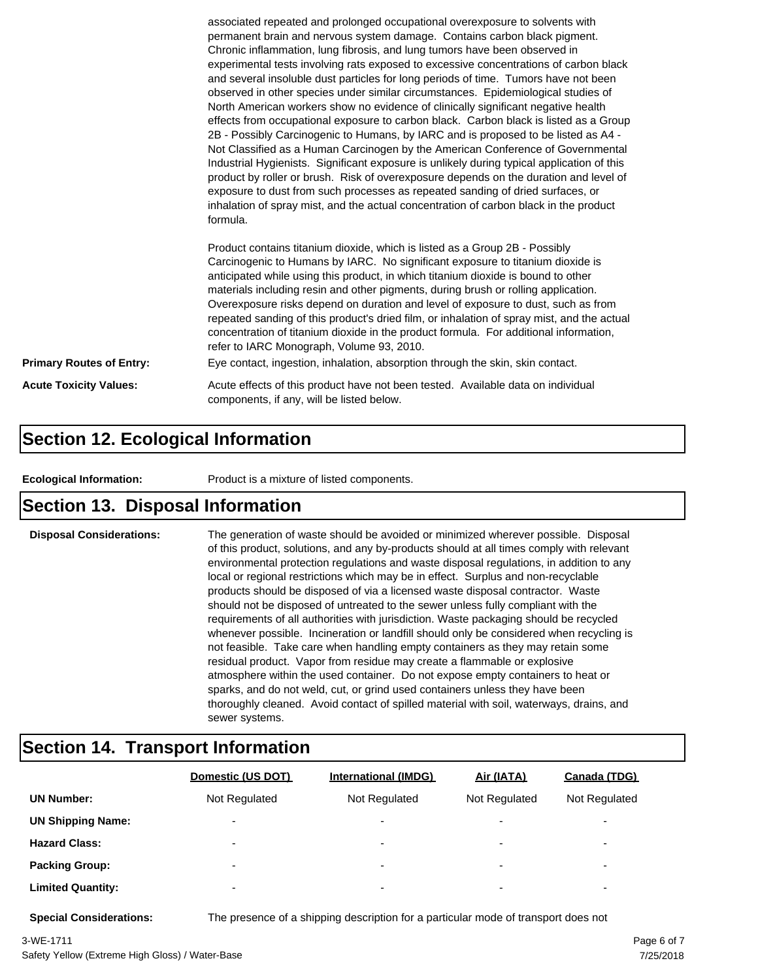|                                 | associated repeated and prolonged occupational overexposure to solvents with<br>permanent brain and nervous system damage. Contains carbon black pigment.<br>Chronic inflammation, lung fibrosis, and lung tumors have been observed in<br>experimental tests involving rats exposed to excessive concentrations of carbon black<br>and several insoluble dust particles for long periods of time. Tumors have not been<br>observed in other species under similar circumstances. Epidemiological studies of<br>North American workers show no evidence of clinically significant negative health<br>effects from occupational exposure to carbon black. Carbon black is listed as a Group<br>2B - Possibly Carcinogenic to Humans, by IARC and is proposed to be listed as A4 -<br>Not Classified as a Human Carcinogen by the American Conference of Governmental<br>Industrial Hygienists. Significant exposure is unlikely during typical application of this<br>product by roller or brush. Risk of overexposure depends on the duration and level of<br>exposure to dust from such processes as repeated sanding of dried surfaces, or<br>inhalation of spray mist, and the actual concentration of carbon black in the product<br>formula.<br>Product contains titanium dioxide, which is listed as a Group 2B - Possibly<br>Carcinogenic to Humans by IARC. No significant exposure to titanium dioxide is<br>anticipated while using this product, in which titanium dioxide is bound to other<br>materials including resin and other pigments, during brush or rolling application.<br>Overexposure risks depend on duration and level of exposure to dust, such as from |  |
|---------------------------------|------------------------------------------------------------------------------------------------------------------------------------------------------------------------------------------------------------------------------------------------------------------------------------------------------------------------------------------------------------------------------------------------------------------------------------------------------------------------------------------------------------------------------------------------------------------------------------------------------------------------------------------------------------------------------------------------------------------------------------------------------------------------------------------------------------------------------------------------------------------------------------------------------------------------------------------------------------------------------------------------------------------------------------------------------------------------------------------------------------------------------------------------------------------------------------------------------------------------------------------------------------------------------------------------------------------------------------------------------------------------------------------------------------------------------------------------------------------------------------------------------------------------------------------------------------------------------------------------------------------------------------------------------------------------------------|--|
|                                 | repeated sanding of this product's dried film, or inhalation of spray mist, and the actual<br>concentration of titanium dioxide in the product formula. For additional information,<br>refer to IARC Monograph, Volume 93, 2010.                                                                                                                                                                                                                                                                                                                                                                                                                                                                                                                                                                                                                                                                                                                                                                                                                                                                                                                                                                                                                                                                                                                                                                                                                                                                                                                                                                                                                                                   |  |
| <b>Primary Routes of Entry:</b> | Eye contact, ingestion, inhalation, absorption through the skin, skin contact.                                                                                                                                                                                                                                                                                                                                                                                                                                                                                                                                                                                                                                                                                                                                                                                                                                                                                                                                                                                                                                                                                                                                                                                                                                                                                                                                                                                                                                                                                                                                                                                                     |  |
| <b>Acute Toxicity Values:</b>   | Acute effects of this product have not been tested. Available data on individual<br>components, if any, will be listed below.                                                                                                                                                                                                                                                                                                                                                                                                                                                                                                                                                                                                                                                                                                                                                                                                                                                                                                                                                                                                                                                                                                                                                                                                                                                                                                                                                                                                                                                                                                                                                      |  |

#### **Section 12. Ecological Information**

**Ecological Information:** Product is a mixture of listed components.

#### **Section 13. Disposal Information**

**Disposal Considerations:** The generation of waste should be avoided or minimized wherever possible. Disposal of this product, solutions, and any by-products should at all times comply with relevant environmental protection regulations and waste disposal regulations, in addition to any local or regional restrictions which may be in effect. Surplus and non-recyclable products should be disposed of via a licensed waste disposal contractor. Waste should not be disposed of untreated to the sewer unless fully compliant with the requirements of all authorities with jurisdiction. Waste packaging should be recycled whenever possible. Incineration or landfill should only be considered when recycling is not feasible. Take care when handling empty containers as they may retain some residual product. Vapor from residue may create a flammable or explosive atmosphere within the used container. Do not expose empty containers to heat or sparks, and do not weld, cut, or grind used containers unless they have been thoroughly cleaned. Avoid contact of spilled material with soil, waterways, drains, and sewer systems.

#### **Section 14. Transport Information**

|                          | Domestic (US DOT)        | <b>International (IMDG)</b> | Air (IATA)               | <b>Canada (TDG)</b>      |
|--------------------------|--------------------------|-----------------------------|--------------------------|--------------------------|
| <b>UN Number:</b>        | Not Regulated            | Not Regulated               | Not Regulated            | Not Regulated            |
| <b>UN Shipping Name:</b> | $\overline{\phantom{0}}$ | $\overline{\phantom{0}}$    | $\overline{\phantom{0}}$ | $\overline{\phantom{0}}$ |
| <b>Hazard Class:</b>     | $\overline{\phantom{0}}$ | $\overline{\phantom{0}}$    | $\overline{\phantom{0}}$ | $\overline{\phantom{0}}$ |
| <b>Packing Group:</b>    | $\overline{\phantom{0}}$ | ۰                           | $\overline{\phantom{0}}$ | $\overline{\phantom{0}}$ |
| <b>Limited Quantity:</b> | $\overline{\phantom{0}}$ | $\overline{\phantom{0}}$    | $\overline{\phantom{0}}$ | $\overline{\phantom{a}}$ |

**Special Considerations:** The presence of a shipping description for a particular mode of transport does not